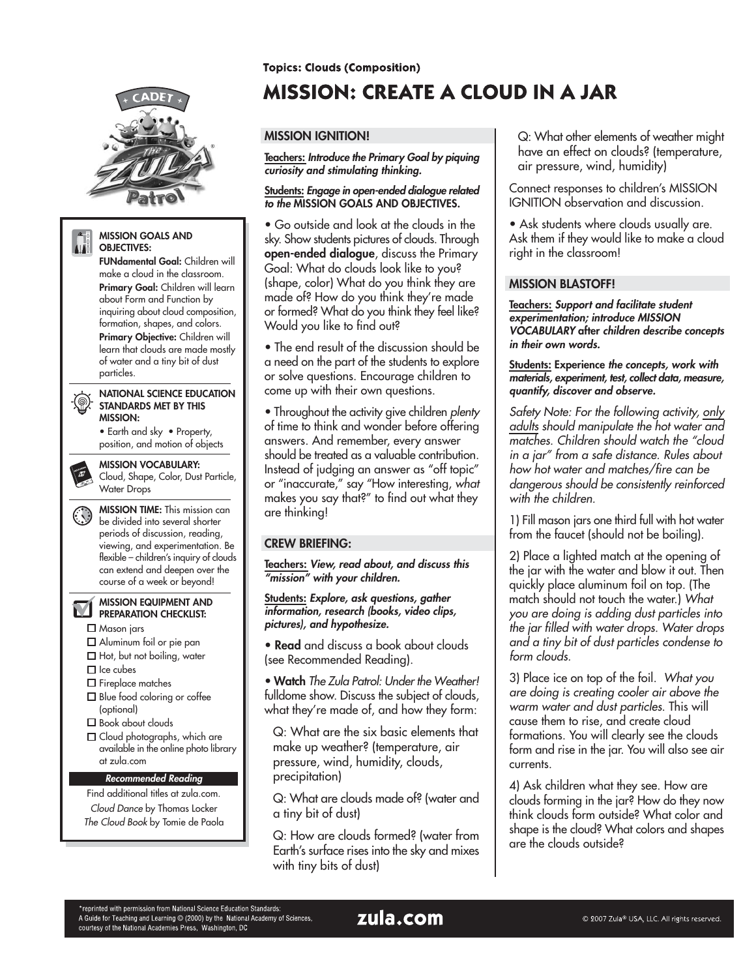

#### **MISSION GOALS AND AIR OBJECTIVES:**

**FUNdamental Goal:** Children will make a cloud in the classroom. **Primary Goal:** Children will learn about Form and Function by inquiring about cloud composition, formation, shapes, and colors. **Primary Objective:** Children will learn that clouds are made mostly of water and a tiny bit of dust particles.

#### **NATIONAL SCIENCE EDUCATION STANDARDS MET BY THIS MISSION:**

• Earth and sky • Property, position, and motion of objects

**MISSION VOCABULARY:**

Cloud, Shape, Color, Dust Particle, Water Drops

**MISSION TIME:** This mission can  $(\cdot, \cdot)$ be divided into several shorter periods of discussion, reading, viewing, and experimentation. Be flexible – children's inquiry of clouds can extend and deepen over the course of a week or beyond!

#### **MISSION EQUIPMENT AND PREPARATION CHECKLIST:**

□ Mason jars

 $\overline{\mathbf{M}}$ 

- Aluminum foil or pie pan
- $\Box$  Hot, but not boiling, water
- $\Box$  Ice cubes
- □ Fireplace matches
- $\square$  Blue food coloring or coffee (optional)
- □ Book about clouds
- $\square$  Cloud photographs, which are available in the online photo library at zula.com

### **Recommended Reading**

Find additional titles at zula.com. Cloud Dance by Thomas Locker The Cloud Book by Tomie de Paola **Topics: Clouds (Composition)** 

# **MISSION: CREATE A CLOUD IN A JAR**

# **MISSION IGNITION!**

**Teachers: Introduce the Primary Goal by piquing curiosity and stimulating thinking.**

### **Students: Engage in open-ended dialogue related to the MISSION GOALS AND OBJECTIVES.**

• Go outside and look at the clouds in the sky. Show students pictures of clouds. Through **open-ended dialogue**, discuss the Primary Goal: What do clouds look like to you? (shape, color) What do you think they are made of? How do you think they're made or formed? What do you think they feel like? Would you like to find out?

• The end result of the discussion should be a need on the part of the students to explore or solve questions. Encourage children to come up with their own questions.

• Throughout the activity give children plenty of time to think and wonder before offering answers. And remember, every answer should be treated as a valuable contribution. Instead of judging an answer as "off topic" or "inaccurate," say "How interesting, what makes you say that?" to find out what they are thinking!

# **CREW BRIEFING:**

**Teachers: View, read about, and discuss this "mission" with your children.**

**Students: Explore, ask questions, gather information, research (books, video clips, pictures), and hypothesize.**

**• Read** and discuss a book about clouds (see Recommended Reading).

• **Watch** The Zula Patrol: Under the Weather! fulldome show. Discuss the subject of clouds, what they're made of, and how they form:

Q: What are the six basic elements that make up weather? (temperature, air pressure, wind, humidity, clouds, precipitation)

Q: What are clouds made of? (water and a tiny bit of dust)

Q: How are clouds formed? (water from Earth's surface rises into the sky and mixes with tiny bits of dust)

Q: What other elements of weather might have an effect on clouds? (temperature, air pressure, wind, humidity)

Connect responses to children's MISSION IGNITION observation and discussion.

• Ask students where clouds usually are. Ask them if they would like to make a cloud right in the classroom!

# **MISSION BLASTOFF!**

**Teachers: Support and facilitate student experimentation; introduce MISSION VOCABULARY after children describe concepts in their own words.**

**Students: Experience the concepts, work with materials, experiment, test, collect data, measure, quantify, discover and observe.**

Safety Note: For the following activity, only adults should manipulate the hot water and matches. Children should watch the "cloud in a jar" from a safe distance. Rules about how hot water and matches/fire can be dangerous should be consistently reinforced with the children.

1) Fill mason jars one third full with hot water from the faucet (should not be boiling).

2) Place a lighted match at the opening of the jar with the water and blow it out. Then quickly place aluminum foil on top. (The match should not touch the water.) What you are doing is adding dust particles into the jar filled with water drops. Water drops and a tiny bit of dust particles condense to form clouds.

3) Place ice on top of the foil. What you are doing is creating cooler air above the warm water and dust particles. This will cause them to rise, and create cloud formations. You will clearly see the clouds form and rise in the jar. You will also see air currents.

4) Ask children what they see. How are clouds forming in the jar? How do they now think clouds form outside? What color and shape is the cloud? What colors and shapes are the clouds outside?